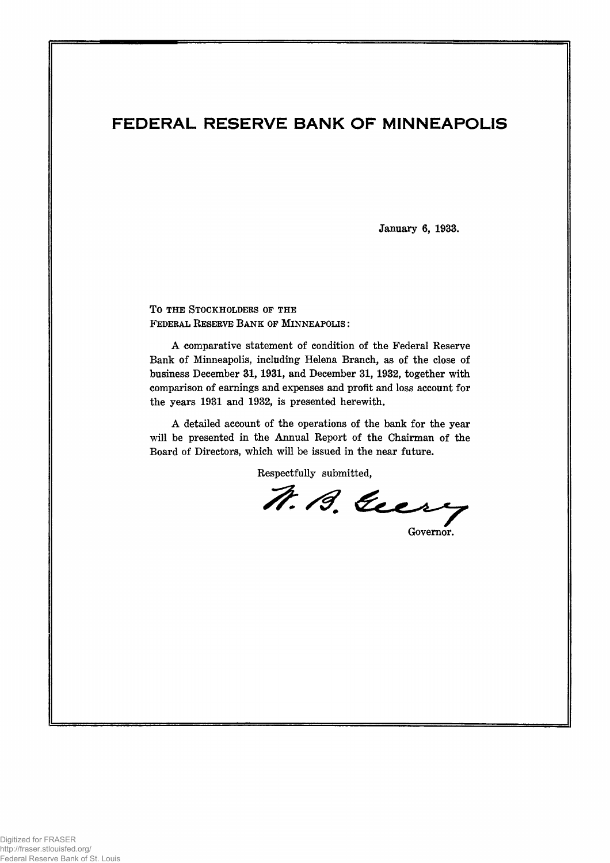# FEDERAL RESERVE BANK OF MINNEAPOLIS

January 6, 1933.

TO THE STOCKHOLDERS OF THE **F ederal Reserve B a n k op M in n e a p o l is :**

A comparative statement of condition of the Federal Reserve Bank of Minneapolis, including Helena Branch, as of the close of business December 31,1931, and December 31, 1932, together with comparison of earnings and expenses and profit and loss account for the years 1931 and 1932, is presented herewith.

A detailed account of the operations of the bank for the year will be presented in the Annual Report of the Chairman of the Board of Directors, which will be issued in the near future.

Respectfully submitted,

N. B. Geery

Governor.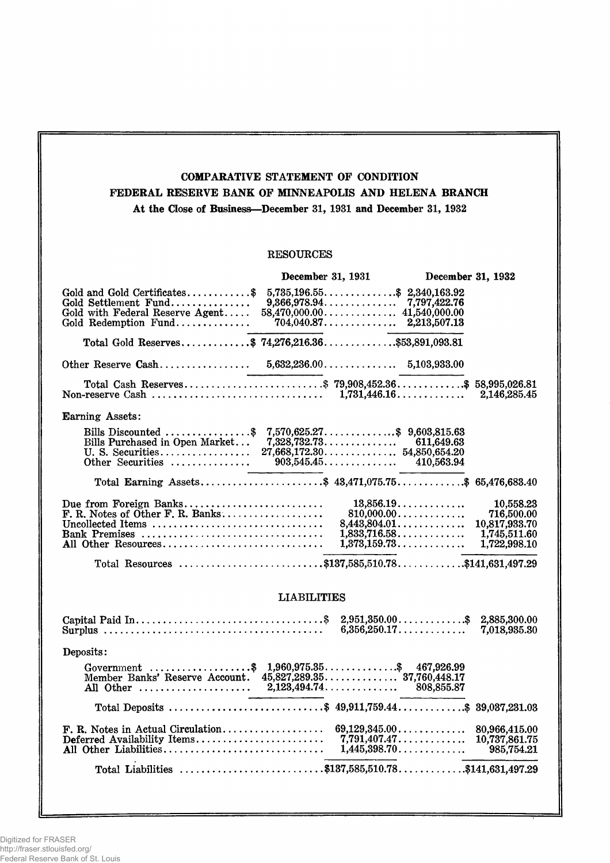# COMPARATIVE STATEMENT OF CONDITION FEDERAL RESERVE BANE OF MINNEAPOLIS AND HELENA BRANCH At the Close of Business—December 31, 1931 and December 31, 1932

## RESOURCES

|                                                                                                                                                                                          | December 31, 1931 |                                                               | December 31, 1932                                                                                                          |                                                                          |  |
|------------------------------------------------------------------------------------------------------------------------------------------------------------------------------------------|-------------------|---------------------------------------------------------------|----------------------------------------------------------------------------------------------------------------------------|--------------------------------------------------------------------------|--|
| Gold and Gold Certificates\$<br>Gold Settlement Fund<br>Gold with Federal Reserve Agent<br>Gold Redemption Fund                                                                          |                   | $5,735,196.55$ \$ 2,340,163.92<br>$704,040.87$ $2,213,507.13$ |                                                                                                                            |                                                                          |  |
| Total Gold Reserves\$ 74,276,216.36\$53,891,093.81                                                                                                                                       |                   |                                                               |                                                                                                                            |                                                                          |  |
|                                                                                                                                                                                          |                   |                                                               |                                                                                                                            |                                                                          |  |
| Total Cash Reserves\$ 79,908,452.36\$ 58,995,026.81                                                                                                                                      |                   |                                                               |                                                                                                                            | 2,146,285.45                                                             |  |
| Earning Assets:                                                                                                                                                                          |                   |                                                               |                                                                                                                            |                                                                          |  |
| Bills Discounted \$ 7,570,625.27\$ 9,603,815.63<br>Bills Purchased in Open Market 7,328,732.73 611,649.63<br>U.S. Securities 27,668,172.30 54,850,654.20                                 |                   |                                                               |                                                                                                                            |                                                                          |  |
| Total Earning Assets\$ 43,471,075.75\$ 65,476,683.40                                                                                                                                     |                   |                                                               |                                                                                                                            |                                                                          |  |
| Due from Foreign Banks<br>F. R. Notes of Other F. R. Banks<br>Uncollected Items $\ldots, \ldots, \ldots, \ldots, \ldots, \ldots, \ldots, \ldots$<br>Bank Premises<br>All Other Resources |                   |                                                               | 13,856.19<br>810,000.00<br>$8,443,804.01$<br>1,833,716.58<br>1,373,159.73                                                  | 10,558.23<br>716,500.00<br>10,817,933.70<br>1,745,511.60<br>1,722,998.10 |  |
| Total Resources \$137,585,510.78\$141,631,497.29                                                                                                                                         |                   |                                                               |                                                                                                                            |                                                                          |  |
| <b>LIABILITIES</b>                                                                                                                                                                       |                   |                                                               |                                                                                                                            |                                                                          |  |
| Surplus $\ldots \ldots \ldots \ldots \ldots \ldots \ldots \ldots \ldots \ldots$                                                                                                          |                   |                                                               | $2,951,350.00$ \$ 2,885,300.00<br>6,356,250.17                                                                             | 7,018,935.30                                                             |  |
| Deposits:                                                                                                                                                                                |                   |                                                               |                                                                                                                            |                                                                          |  |
| Government \$ 1,960,975.35\$ 467,926.99<br>Member Banks' Reserve Account. 45,827,289.35 37,760,448.17                                                                                    |                   |                                                               |                                                                                                                            |                                                                          |  |
| Total Deposits \$ 49,911,759.44\$ 39,037,231.03                                                                                                                                          |                   |                                                               |                                                                                                                            |                                                                          |  |
| F. R. Notes in Actual Circulation<br>Deferred Availability Items<br>All Other Liabilities                                                                                                |                   |                                                               | $69,129,345.00\dots\dots\dots\dots\dots$<br>$7,791,407.47.\dots\dots\dots\dots$<br>$1,445,398.70\dots\dots\dots\dots\dots$ | 80,966,415.00<br>10,737,861.75<br>985,754.21                             |  |
| Total Liabilities \$137,585,510.78\$141,631,497.29                                                                                                                                       |                   |                                                               |                                                                                                                            |                                                                          |  |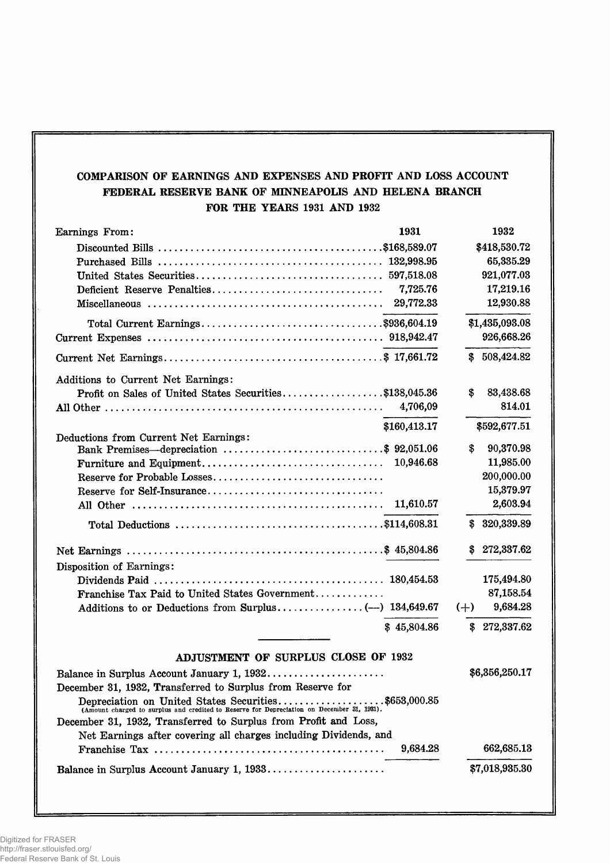# COMPARISON OF EARNINGS AND EXPENSES AND PROFIT AND LOSS ACCOUNT FEDERAL RESERVE BANK OF MINNEAPOLIS AND HELENA BRANCH FOR THE YEARS 1931 AND 1932

| Earnings From:                                                                                                                                     | 1931         |       | 1932           |
|----------------------------------------------------------------------------------------------------------------------------------------------------|--------------|-------|----------------|
|                                                                                                                                                    |              |       | \$418,530.72   |
|                                                                                                                                                    |              |       | 65,335.29      |
|                                                                                                                                                    |              |       | 921,077.03     |
| Deficient Reserve Penalties                                                                                                                        | 7,725.76     |       | 17,219.16      |
|                                                                                                                                                    | 29,772.33    |       | 12,930.88      |
|                                                                                                                                                    |              |       |                |
|                                                                                                                                                    |              |       | \$1,435,093.08 |
|                                                                                                                                                    |              |       | 926,668.26     |
|                                                                                                                                                    |              |       | \$508,424.82   |
| Additions to Current Net Earnings:                                                                                                                 |              |       |                |
| Profit on Sales of United States Securities\$138,045.36                                                                                            |              | \$    | 83,438.68      |
|                                                                                                                                                    | 4,706,09     |       | 814.01         |
|                                                                                                                                                    | \$160,413.17 |       | \$592,677.51   |
| Deductions from Current Net Earnings:                                                                                                              |              |       |                |
| Bank Premises—depreciation \$ 92,051.06                                                                                                            |              | \$    | 90,370.98      |
|                                                                                                                                                    | 10,946.68    |       | 11,985.00      |
| Reserve for Probable Losses                                                                                                                        |              |       | 200,000.00     |
| Reserve for Self-Insurance                                                                                                                         |              |       | 15,379.97      |
|                                                                                                                                                    | 11,610.57    |       | 2,603.94       |
|                                                                                                                                                    |              |       | \$320,339.89   |
|                                                                                                                                                    |              | S     | 272,337.62     |
| Disposition of Earnings:                                                                                                                           |              |       |                |
|                                                                                                                                                    |              |       | 175,494.80     |
| Franchise Tax Paid to United States Government                                                                                                     |              |       | 87,158.54      |
|                                                                                                                                                    |              | $(+)$ | 9,684.28       |
|                                                                                                                                                    | \$45,804.86  |       | \$272,337.62   |
| ADJUSTMENT OF SURPLUS CLOSE OF 1932                                                                                                                |              |       |                |
|                                                                                                                                                    |              |       |                |
|                                                                                                                                                    |              |       | \$6,356,250.17 |
| December 31, 1932, Transferred to Surplus from Reserve for                                                                                         |              |       |                |
| Depreciation on United States Securities\$653,000.85<br>(Amount charged to surplus and credited to Reserve for Depreciation on December 31, 1931). |              |       |                |
| December 31, 1932, Transferred to Surplus from Profit and Loss,                                                                                    |              |       |                |
| Net Earnings after covering all charges including Dividends, and                                                                                   |              |       |                |
|                                                                                                                                                    | 9,684.28     |       | 662,685.13     |
| Balance in Surplus Account January 1, 1933                                                                                                         |              |       | \$7,018,935.30 |
|                                                                                                                                                    |              |       |                |